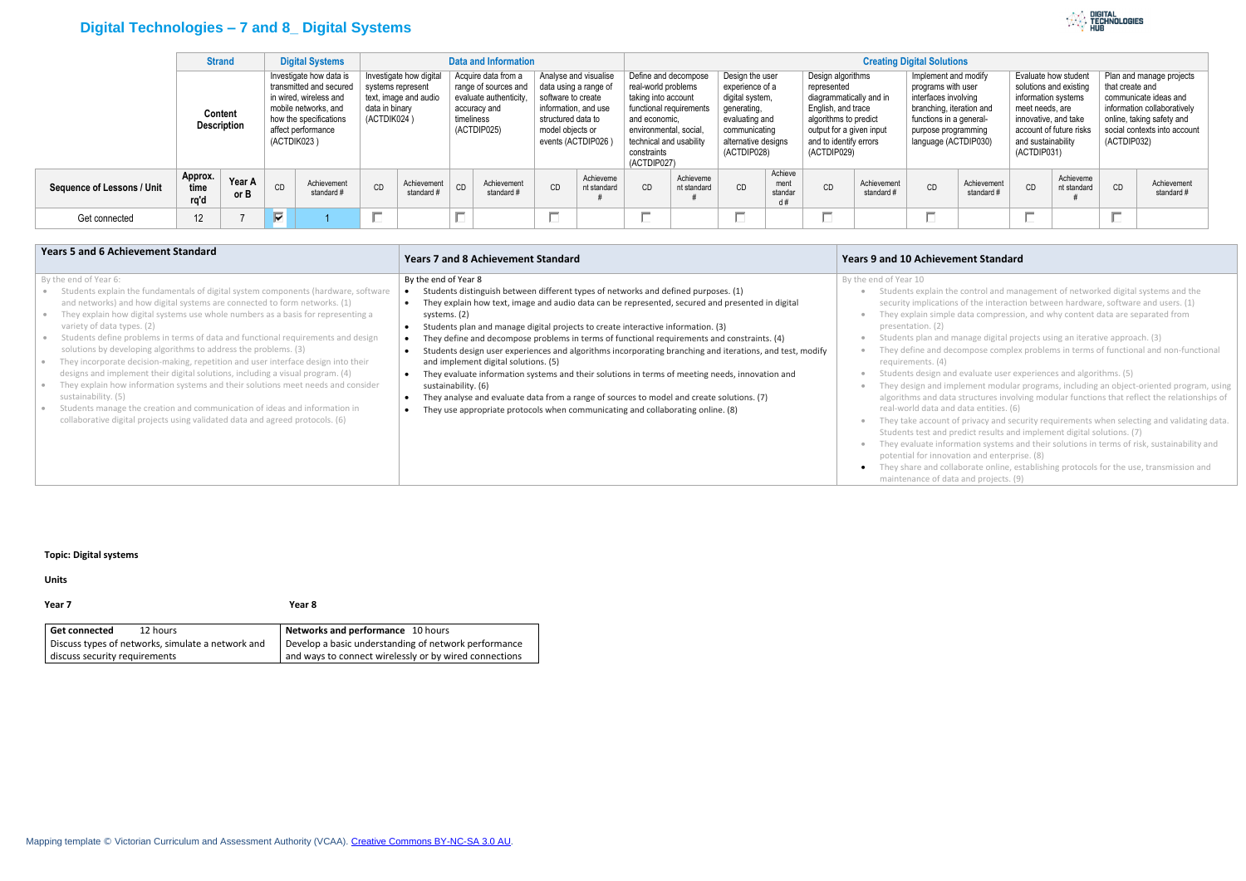# **Digital Technologies – 7 and 8\_ Digital Systems**

|                                   | <b>Strand</b><br><b>Digital Systems</b> |                |                         |                                                                                                                                                      | <b>Data and Information</b>                        |                                                  |            |                                                                                                      |                                                              | <b>Creating Digital Solutions</b>                                                            |                                                                                                                                                |                                                 |                                                                                                                                               |                                  |                                                                                                                                                                                 |                           |                                                                                                                                                                          |                           |                                                                                                                                                       |                          |                                |                                                                                                                                               |
|-----------------------------------|-----------------------------------------|----------------|-------------------------|------------------------------------------------------------------------------------------------------------------------------------------------------|----------------------------------------------------|--------------------------------------------------|------------|------------------------------------------------------------------------------------------------------|--------------------------------------------------------------|----------------------------------------------------------------------------------------------|------------------------------------------------------------------------------------------------------------------------------------------------|-------------------------------------------------|-----------------------------------------------------------------------------------------------------------------------------------------------|----------------------------------|---------------------------------------------------------------------------------------------------------------------------------------------------------------------------------|---------------------------|--------------------------------------------------------------------------------------------------------------------------------------------------------------------------|---------------------------|-------------------------------------------------------------------------------------------------------------------------------------------------------|--------------------------|--------------------------------|-----------------------------------------------------------------------------------------------------------------------------------------------|
|                                   | Content<br><b>Description</b>           |                | (ACTDIK023)             | Investigate how data is<br>transmitted and secured<br>in wired, wireless and<br>mobile networks, and<br>how the specifications<br>affect performance | systems represent<br>data in binary<br>(ACTDIK024) | Investigate how digital<br>text, image and audio | timeliness | Acquire data from a<br>range of sources and<br>evaluate authenticity,<br>accuracy and<br>(ACTDIP025) | software to create<br>structured data to<br>model objects or | Analyse and visualise<br>data using a range of<br>information, and use<br>events (ACTDIP026) | real-world problems<br>taking into account<br>and economic.<br>environmental, social,<br>technical and usability<br>constraints<br>(ACTDIP027) | Define and decompose<br>functional requirements | Design the user<br>experience of a<br>digital system,<br>generating,<br>evaluating and<br>communicating<br>alternative designs<br>(ACTDIP028) |                                  | Design algorithms<br>represented<br>diagrammatically and in<br>English, and trace<br>algorithms to predict<br>output for a given input<br>and to identify errors<br>(ACTDIP029) |                           | Implement and modify<br>programs with user<br>interfaces involving<br>branching, iteration and<br>functions in a general-<br>purpose programming<br>language (ACTDIP030) |                           | Evaluate how student<br>solutions and existing<br>information systems<br>meet needs, are<br>innovative, and take<br>and sustainability<br>(ACTDIP031) | account of future risks  | that create and<br>(ACTDIP032) | Plan and manage projects<br>communicate ideas and<br>information collaboratively<br>online, taking safety and<br>social contexts into account |
| <b>Sequence of Lessons / Unit</b> | Approx.<br>time<br>rq'd                 | Year A<br>or B | CD                      | Achievement<br>standard #                                                                                                                            | CD                                                 | Achievement<br>standard #                        | CD         | Achievement<br>standard#                                                                             | CD                                                           | Achieveme<br>nt standard                                                                     | CD                                                                                                                                             | Achieveme<br>nt standard                        | CD                                                                                                                                            | Achieve<br>ment<br>standar<br>d# | CD                                                                                                                                                                              | Achievement<br>standard # | CD                                                                                                                                                                       | Achievement<br>standard # | CD                                                                                                                                                    | Achieveme<br>nt standard | CD                             | Achievement<br>standard #                                                                                                                     |
| Get connected                     | 12                                      |                | $\overline{\mathbf{v}}$ |                                                                                                                                                      | $\equiv$                                           |                                                  | $-$        |                                                                                                      | $-$                                                          |                                                                                              | $\overline{\phantom{a}}$                                                                                                                       |                                                 | $\overline{\phantom{a}}$                                                                                                                      |                                  | $\Box$                                                                                                                                                                          |                           | $\equiv$<br>J.                                                                                                                                                           |                           | $\equiv$                                                                                                                                              |                          | $\equiv$                       |                                                                                                                                               |

| <b>Years 5 and 6 Achievement Standard</b>                                                                                                                                                                                                                                                                                                                                                                                                                                                                                                                                                                                                                                                                                                                                                                                                                                                                          | <b>Years 7 and 8 Achievement Standard</b>                                                                                                                                                                                                                                                                                                                                                                                                                                                                                                                                                                                                                                                                                                                                                                                                                                       | <b>Years 9 and 10 Achievement Standard</b>                                                                                                                                                                                                                                                                                                                                                                                                                                                                                                                                                                                                                                                      |
|--------------------------------------------------------------------------------------------------------------------------------------------------------------------------------------------------------------------------------------------------------------------------------------------------------------------------------------------------------------------------------------------------------------------------------------------------------------------------------------------------------------------------------------------------------------------------------------------------------------------------------------------------------------------------------------------------------------------------------------------------------------------------------------------------------------------------------------------------------------------------------------------------------------------|---------------------------------------------------------------------------------------------------------------------------------------------------------------------------------------------------------------------------------------------------------------------------------------------------------------------------------------------------------------------------------------------------------------------------------------------------------------------------------------------------------------------------------------------------------------------------------------------------------------------------------------------------------------------------------------------------------------------------------------------------------------------------------------------------------------------------------------------------------------------------------|-------------------------------------------------------------------------------------------------------------------------------------------------------------------------------------------------------------------------------------------------------------------------------------------------------------------------------------------------------------------------------------------------------------------------------------------------------------------------------------------------------------------------------------------------------------------------------------------------------------------------------------------------------------------------------------------------|
| By the end of Year 6:<br>Students explain the fundamentals of digital system components (hardware, software<br>and networks) and how digital systems are connected to form networks. (1)<br>They explain how digital systems use whole numbers as a basis for representing a<br>variety of data types. (2)<br>Students define problems in terms of data and functional requirements and design<br>solutions by developing algorithms to address the problems. (3)<br>They incorporate decision-making, repetition and user interface design into their<br>designs and implement their digital solutions, including a visual program. (4)<br>They explain how information systems and their solutions meet needs and consider<br>sustainability. (5)<br>Students manage the creation and communication of ideas and information in<br>collaborative digital projects using validated data and agreed protocols. (6) | By the end of Year 8<br>Students distinguish between different types of networks and defined purposes. (1)<br>They explain how text, image and audio data can be represented, secured and presented in digital<br>systems. (2)<br>Students plan and manage digital projects to create interactive information. (3)<br>They define and decompose problems in terms of functional requirements and constraints. (4)<br>Students design user experiences and algorithms incorporating branching and iterations, and test, modify<br>and implement digital solutions. (5)<br>They evaluate information systems and their solutions in terms of meeting needs, innovation and<br>sustainability. (6)<br>They analyse and evaluate data from a range of sources to model and create solutions. (7)<br>They use appropriate protocols when communicating and collaborating online. (8) | By the end of Year 10<br>Students explain the control and man<br>security implications of the interactio<br>They explain simple data compression<br>presentation. (2)<br>Students plan and manage digital pro<br>They define and decompose complex<br>requirements. (4)<br>Students design and evaluate user ex<br>They design and implement modular<br>algorithms and data structures involv<br>real-world data and data entities. (6)<br>They take account of privacy and sect<br>Students test and predict results and<br>They evaluate information systems are<br>potential for innovation and enterprist<br>They share and collaborate online, es<br>maintenance of data and projects. (9) |

#### **Topic: Digital systems**

**Units**

**Year 7 Year 8**

| <b>Get connected</b><br>12 hours                  | Networks and performance 10 hours                      |  |  |  |  |
|---------------------------------------------------|--------------------------------------------------------|--|--|--|--|
| Discuss types of networks, simulate a network and | Develop a basic understanding of network performance   |  |  |  |  |
| discuss security requirements                     | and ways to connect wirelessly or by wired connections |  |  |  |  |



I the control and management of networked digital systems and the tions of the interaction between hardware, software and users.  $(1)$ nple data compression, and why content data are separated from

- nd manage digital projects using an iterative approach. (3)
- I decompose complex problems in terms of functional and non-functional
- and evaluate user experiences and algorithms. (5)
- I implement modular programs, including an object-oriented program, using data structures involving modular functions that reflect the relationships of and data entities. (6)
- Int of privacy and security requirements when selecting and validating data. Ind predict results and implement digital solutions. (7)
- Iformation systems and their solutions in terms of risk, sustainability and povation and enterprise. (8)
- collaborate online, establishing protocols for the use, transmission and data and projects. (9)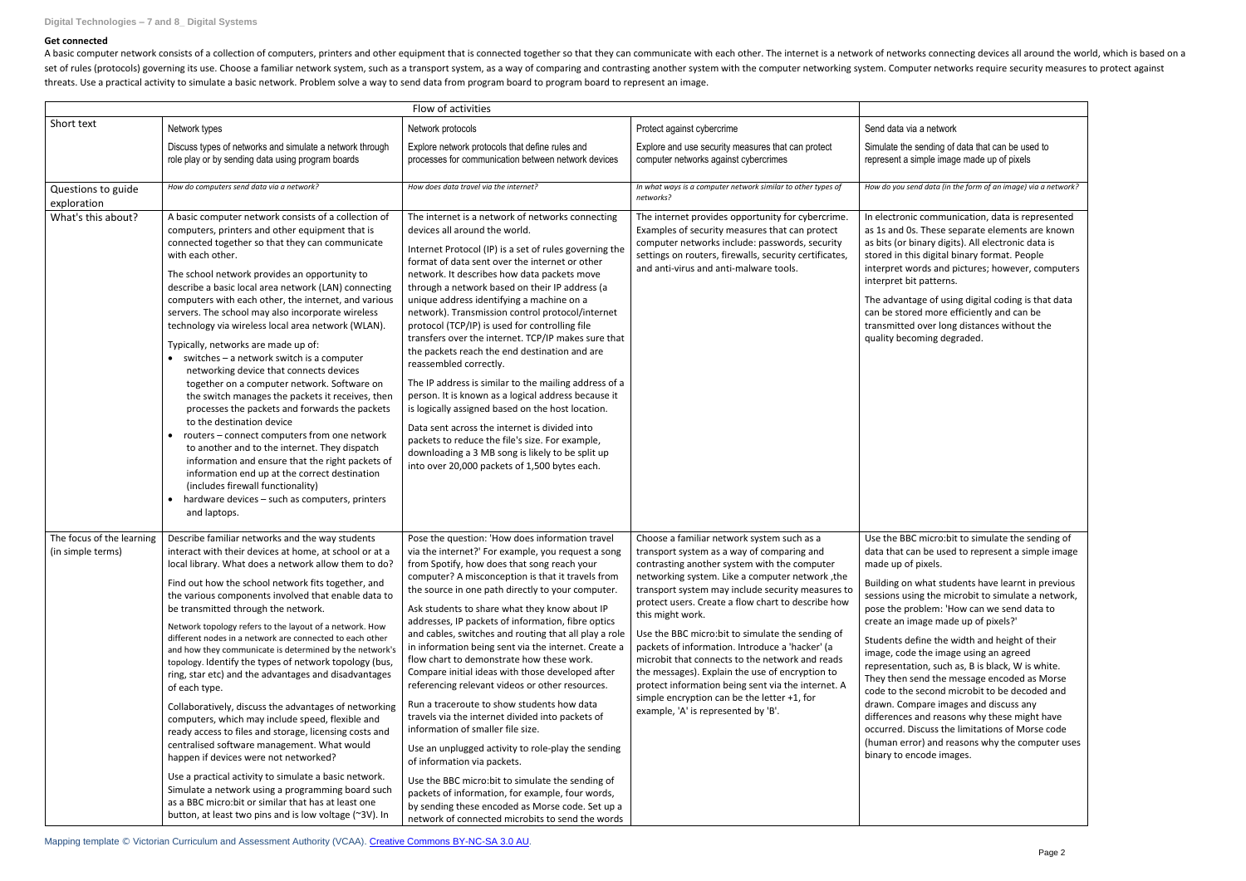### **Get connected**

A basic computer network consists of a collection of computers, printers and other equipment that is connected together so that they can communicate with each other. The internet is a network of networks connecting devices set of rules (protocols) governing its use. Choose a familiar network system, such as a transport system, as a way of comparing and contrasting another system with the computer networking system. Computer networks require threats. Use a practical activity to simulate a basic network. Problem solve a way to send data from program board to program board to represent an image.

using digital coding is that data re efficiently and can be long distances without the degraded.

o:bit to simulate the sending of ised to represent a simple image

students have learnt in previous microbit to simulate a network, : 'How can we send data to ade up of pixels?'

e width and height of their mage using an agreed ich as, B is black, W is white. e message encoded as Morse d microbit to be decoded and mages and discuss any asons why these might have the limitations of Morse code I reasons why the computer uses mages.

| Flow of activities                             |                                                                                                                                                                                                                                                                                                                                                                                                                                                                                                                                                                                                                                                                                                                                                                                                                                                                                                                                                                                                                                                                                                                                           |                                                                                                                                                                                                                                                                                                                                                                                                                                                                                                                                                                                                                                                                                                                                                                                                                                                                                                                                                                                                                                                                                        |                                                                                                                                                                                                                                                                                                                                                                                                                                                                                                                                                                                                                                                                                     |                                                                                                                                                                                                                                                                                                                                                                                                                                |  |  |  |  |  |
|------------------------------------------------|-------------------------------------------------------------------------------------------------------------------------------------------------------------------------------------------------------------------------------------------------------------------------------------------------------------------------------------------------------------------------------------------------------------------------------------------------------------------------------------------------------------------------------------------------------------------------------------------------------------------------------------------------------------------------------------------------------------------------------------------------------------------------------------------------------------------------------------------------------------------------------------------------------------------------------------------------------------------------------------------------------------------------------------------------------------------------------------------------------------------------------------------|----------------------------------------------------------------------------------------------------------------------------------------------------------------------------------------------------------------------------------------------------------------------------------------------------------------------------------------------------------------------------------------------------------------------------------------------------------------------------------------------------------------------------------------------------------------------------------------------------------------------------------------------------------------------------------------------------------------------------------------------------------------------------------------------------------------------------------------------------------------------------------------------------------------------------------------------------------------------------------------------------------------------------------------------------------------------------------------|-------------------------------------------------------------------------------------------------------------------------------------------------------------------------------------------------------------------------------------------------------------------------------------------------------------------------------------------------------------------------------------------------------------------------------------------------------------------------------------------------------------------------------------------------------------------------------------------------------------------------------------------------------------------------------------|--------------------------------------------------------------------------------------------------------------------------------------------------------------------------------------------------------------------------------------------------------------------------------------------------------------------------------------------------------------------------------------------------------------------------------|--|--|--|--|--|
| Short text                                     | Network types                                                                                                                                                                                                                                                                                                                                                                                                                                                                                                                                                                                                                                                                                                                                                                                                                                                                                                                                                                                                                                                                                                                             | Network protocols                                                                                                                                                                                                                                                                                                                                                                                                                                                                                                                                                                                                                                                                                                                                                                                                                                                                                                                                                                                                                                                                      | Protect against cybercrime                                                                                                                                                                                                                                                                                                                                                                                                                                                                                                                                                                                                                                                          | Send data via a network                                                                                                                                                                                                                                                                                                                                                                                                        |  |  |  |  |  |
|                                                | Discuss types of networks and simulate a network through<br>role play or by sending data using program boards                                                                                                                                                                                                                                                                                                                                                                                                                                                                                                                                                                                                                                                                                                                                                                                                                                                                                                                                                                                                                             | Explore network protocols that define rules and<br>processes for communication between network devices                                                                                                                                                                                                                                                                                                                                                                                                                                                                                                                                                                                                                                                                                                                                                                                                                                                                                                                                                                                 | Explore and use security measures that can protect<br>computer networks against cybercrimes                                                                                                                                                                                                                                                                                                                                                                                                                                                                                                                                                                                         | Simulate the sending of<br>represent a simple imag                                                                                                                                                                                                                                                                                                                                                                             |  |  |  |  |  |
| Questions to guide<br>exploration              | How do computers send data via a network?                                                                                                                                                                                                                                                                                                                                                                                                                                                                                                                                                                                                                                                                                                                                                                                                                                                                                                                                                                                                                                                                                                 | How does data travel via the internet?                                                                                                                                                                                                                                                                                                                                                                                                                                                                                                                                                                                                                                                                                                                                                                                                                                                                                                                                                                                                                                                 | In what ways is a computer network similar to other types of<br>networks?                                                                                                                                                                                                                                                                                                                                                                                                                                                                                                                                                                                                           | How do you send data (in ti                                                                                                                                                                                                                                                                                                                                                                                                    |  |  |  |  |  |
| What's this about?                             | A basic computer network consists of a collection of<br>computers, printers and other equipment that is<br>connected together so that they can communicate<br>with each other.<br>The school network provides an opportunity to<br>describe a basic local area network (LAN) connecting<br>computers with each other, the internet, and various<br>servers. The school may also incorporate wireless<br>technology via wireless local area network (WLAN).<br>Typically, networks are made up of:<br>$\bullet$ switches - a network switch is a computer<br>networking device that connects devices<br>together on a computer network. Software on<br>the switch manages the packets it receives, then<br>processes the packets and forwards the packets<br>to the destination device<br>routers - connect computers from one network<br>$\bullet$<br>to another and to the internet. They dispatch<br>information and ensure that the right packets of<br>information end up at the correct destination<br>(includes firewall functionality)<br>hardware devices - such as computers, printers<br>$\bullet$<br>and laptops.              | The internet is a network of networks connecting<br>devices all around the world.<br>Internet Protocol (IP) is a set of rules governing the<br>format of data sent over the internet or other<br>network. It describes how data packets move<br>through a network based on their IP address (a<br>unique address identifying a machine on a<br>network). Transmission control protocol/internet<br>protocol (TCP/IP) is used for controlling file<br>transfers over the internet. TCP/IP makes sure that<br>the packets reach the end destination and are<br>reassembled correctly.<br>The IP address is similar to the mailing address of a<br>person. It is known as a logical address because it<br>is logically assigned based on the host location.<br>Data sent across the internet is divided into<br>packets to reduce the file's size. For example,<br>downloading a 3 MB song is likely to be split up<br>into over 20,000 packets of 1,500 bytes each.                                                                                                                      | The internet provides opportunity for cybercrime.<br>Examples of security measures that can protect<br>computer networks include: passwords, security<br>settings on routers, firewalls, security certificates,<br>and anti-virus and anti-malware tools.                                                                                                                                                                                                                                                                                                                                                                                                                           | In electronic commun<br>as 1s and 0s. These se<br>as bits (or binary digit<br>stored in this digital b<br>interpret words and p<br>interpret bit patterns.<br>The advantage of usin<br>can be stored more et<br>transmitted over long<br>quality becoming deg                                                                                                                                                                  |  |  |  |  |  |
| The focus of the learning<br>(in simple terms) | Describe familiar networks and the way students<br>interact with their devices at home, at school or at a<br>local library. What does a network allow them to do?<br>Find out how the school network fits together, and<br>the various components involved that enable data to<br>be transmitted through the network.<br>Network topology refers to the layout of a network. How<br>different nodes in a network are connected to each other<br>and how they communicate is determined by the network's<br>topology. Identify the types of network topology (bus,<br>ring, star etc) and the advantages and disadvantages<br>of each type.<br>Collaboratively, discuss the advantages of networking<br>computers, which may include speed, flexible and<br>ready access to files and storage, licensing costs and<br>centralised software management. What would<br>happen if devices were not networked?<br>Use a practical activity to simulate a basic network.<br>Simulate a network using a programming board such<br>as a BBC micro: bit or similar that has at least one<br>button, at least two pins and is low voltage (~3V). In | Pose the question: 'How does information travel<br>via the internet?' For example, you request a song<br>from Spotify, how does that song reach your<br>computer? A misconception is that it travels from<br>the source in one path directly to your computer.<br>Ask students to share what they know about IP<br>addresses, IP packets of information, fibre optics<br>and cables, switches and routing that all play a role<br>in information being sent via the internet. Create a<br>flow chart to demonstrate how these work.<br>Compare initial ideas with those developed after<br>referencing relevant videos or other resources.<br>Run a traceroute to show students how data<br>travels via the internet divided into packets of<br>information of smaller file size.<br>Use an unplugged activity to role-play the sending<br>of information via packets.<br>Use the BBC micro:bit to simulate the sending of<br>packets of information, for example, four words,<br>by sending these encoded as Morse code. Set up a<br>network of connected microbits to send the words | Choose a familiar network system such as a<br>transport system as a way of comparing and<br>contrasting another system with the computer<br>networking system. Like a computer network, the<br>transport system may include security measures to<br>protect users. Create a flow chart to describe how<br>this might work.<br>Use the BBC micro:bit to simulate the sending of<br>packets of information. Introduce a 'hacker' (a<br>microbit that connects to the network and reads<br>the messages). Explain the use of encryption to<br>protect information being sent via the internet. A<br>simple encryption can be the letter +1, for<br>example, 'A' is represented by 'B'. | Use the BBC micro:bit<br>data that can be used<br>made up of pixels.<br>Building on what stud<br>sessions using the mid<br>pose the problem: 'Ho<br>create an image made<br>Students define the w<br>image, code the imag<br>representation, such a<br>They then send the m<br>code to the second m<br>drawn. Compare imag<br>differences and reaso<br>occurred. Discuss the<br>(human error) and rea<br>binary to encode imag |  |  |  |  |  |

vork

of data that can be used to nage made up of pixels

*(in the form of an image) via a network?*